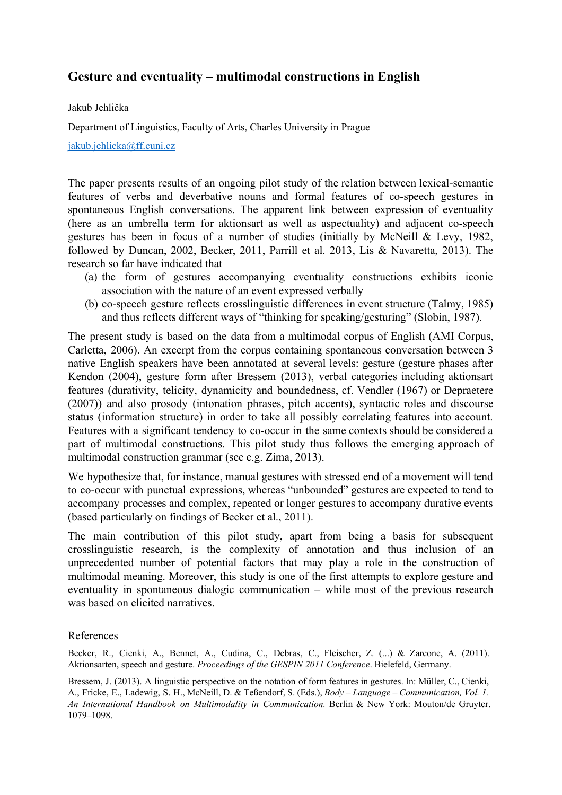## **Gesture and eventuality – multimodal constructions in English**

Jakub Jehlička

Department of Linguistics, Faculty of Arts, Charles University in Prague

[jakub.jehlicka@ff.cuni.cz](mailto:jakub.jehlicka@ff.cuni.cz)

The paper presents results of an ongoing pilot study of the relation between lexical-semantic features of verbs and deverbative nouns and formal features of co-speech gestures in spontaneous English conversations. The apparent link between expression of eventuality (here as an umbrella term for aktionsart as well as aspectuality) and adjacent co-speech gestures has been in focus of a number of studies (initially by McNeill & Levy, 1982, followed by Duncan, 2002, Becker, 2011, Parrill et al. 2013, Lis & Navaretta, 2013). The research so far have indicated that

- (a) the form of gestures accompanying eventuality constructions exhibits iconic association with the nature of an event expressed verbally
- (b) co-speech gesture reflects crosslinguistic differences in event structure (Talmy, 1985) and thus reflects different ways of "thinking for speaking/gesturing" (Slobin, 1987).

The present study is based on the data from a multimodal corpus of English (AMI Corpus, Carletta, 2006). An excerpt from the corpus containing spontaneous conversation between 3 native English speakers have been annotated at several levels: gesture (gesture phases after Kendon (2004), gesture form after Bressem (2013), verbal categories including aktionsart features (durativity, telicity, dynamicity and boundedness, cf. Vendler (1967) or Depraetere (2007)) and also prosody (intonation phrases, pitch accents), syntactic roles and discourse status (information structure) in order to take all possibly correlating features into account. Features with a significant tendency to co-occur in the same contexts should be considered a part of multimodal constructions. This pilot study thus follows the emerging approach of multimodal construction grammar (see e.g. Zima, 2013).

We hypothesize that, for instance, manual gestures with stressed end of a movement will tend to co-occur with punctual expressions, whereas "unbounded" gestures are expected to tend to accompany processes and complex, repeated or longer gestures to accompany durative events (based particularly on findings of Becker et al., 2011).

The main contribution of this pilot study, apart from being a basis for subsequent crosslinguistic research, is the complexity of annotation and thus inclusion of an unprecedented number of potential factors that may play a role in the construction of multimodal meaning. Moreover, this study is one of the first attempts to explore gesture and eventuality in spontaneous dialogic communication – while most of the previous research was based on elicited narratives.

## References

Becker, R., Cienki, A., Bennet, A., Cudina, C., Debras, C., Fleischer, Z. (...) & Zarcone, A. (2011). Aktionsarten, speech and gesture. *Proceedings of the GESPIN 2011 Conference*. Bielefeld, Germany.

Bressem, J. (2013). A linguistic perspective on the notation of form features in gestures. In: Müller, C., Cienki, A., Fricke, E., Ladewig, S. H., McNeill, D. & Teßendorf, S. (Eds.), *Body – Language – Communication, Vol. 1. An International Handbook on Multimodality in Communication.* Berlin & New York: Mouton/de Gruyter. 1079–1098.